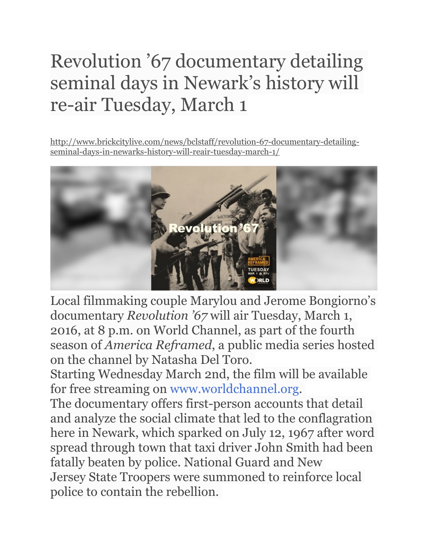## Revolution '67 documentary detailing seminal days in Newark's history will re-air Tuesday, March 1

[http://www.brickcitylive.com/news/bclstaff/revolution-67-documentary-detailing](http://www.brickcitylive.com/news/bclstaff/revolution-67-documentary-detailing-seminal-days-in-newarks-history-will-reair-tuesday-march-1/)seminal-days-in-newarks-history-will-reair-tuesday-march-1/



Local filmmaking couple Marylou and Jerome Bongiorno's documentary *Revolution '67* will air Tuesday, March 1, 2016, at 8 p.m. on World Channel, as part of the fourth season of *America Reframed*, a public media series hosted on the channel by Natasha Del Toro.

Starting Wednesday March 2nd, the film will be available for free streaming on [www.worldchannel.org.](http://www.worldchannel.org/)

The documentary offers first-person accounts that detail and analyze the social climate that led to the conflagration here in Newark, which sparked on July 12, 1967 after word spread through town that taxi driver John Smith had been fatally beaten by police. National Guard and New Jersey State Troopers were summoned to reinforce local police to contain the rebellion.